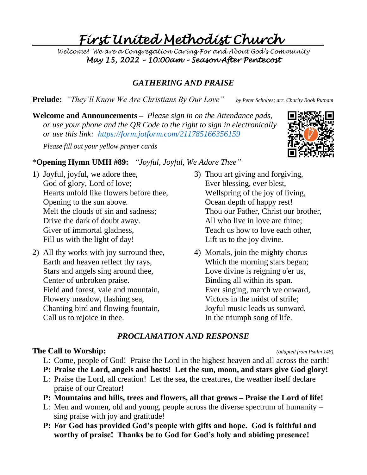# *First United Methodist Church*

*Welcome! We are a Congregation Caring For and About God's Community May 15, 2022 – 10:00am – Season After Pentecost* 

### *GATHERING AND PRAISE*

**Prelude:** *"They'll Know We Are Christians By Our Love" by Peter Scholtes; arr. Charity Book Putnam*

**Welcome and Announcements –** *Please sign in on the Attendance pads, or use your phone and the QR Code to the right to sign in electronically or use this link: <https://form.jotform.com/211785166356159>*

*Please fill out your yellow prayer cards* 

\***Opening Hymn UMH #89:** *"Joyful, Joyful, We Adore Thee"*

- 1) Joyful, joyful, we adore thee, God of glory, Lord of love; Hearts unfold like flowers before thee, Opening to the sun above. Melt the clouds of sin and sadness; Drive the dark of doubt away. Giver of immortal gladness, Fill us with the light of day!
- 2) All thy works with joy surround thee, Earth and heaven reflect thy rays, Stars and angels sing around thee, Center of unbroken praise. Field and forest, vale and mountain, Flowery meadow, flashing sea, Chanting bird and flowing fountain, Call us to rejoice in thee.
- 3) Thou art giving and forgiving, Ever blessing, ever blest, Wellspring of the joy of living, Ocean depth of happy rest! Thou our Father, Christ our brother, All who live in love are thine; Teach us how to love each other, Lift us to the joy divine.
- 4) Mortals, join the mighty chorus Which the morning stars began; Love divine is reigning o'er us, Binding all within its span. Ever singing, march we onward, Victors in the midst of strife; Joyful music leads us sunward, In the triumph song of life.

#### *PROCLAMATION AND RESPONSE*

#### **The Call to Worship:** *(adapted from Psalm 148)*

- L: Come, people of God! Praise the Lord in the highest heaven and all across the earth!
- **P: Praise the Lord, angels and hosts! Let the sun, moon, and stars give God glory!**
- L: Praise the Lord, all creation! Let the sea, the creatures, the weather itself declare praise of our Creator!
- **P: Mountains and hills, trees and flowers, all that grows – Praise the Lord of life!**
- L: Men and women, old and young, people across the diverse spectrum of humanity sing praise with joy and gratitude!
- **P: For God has provided God's people with gifts and hope. God is faithful and worthy of praise! Thanks be to God for God's holy and abiding presence!**

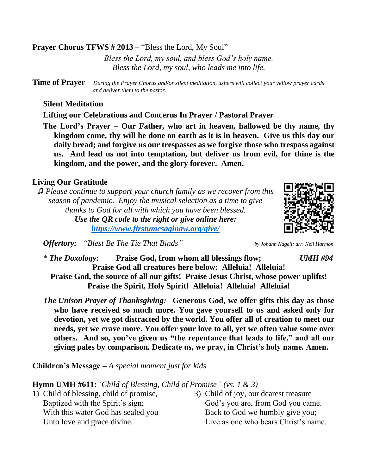**Prayer Chorus TFWS # 2013 –** "Bless the Lord, My Soul"

*Bless the Lord, my soul, and bless God's holy name. Bless the Lord, my soul, who leads me into life.*

**Time of Prayer –** *During the Prayer Chorus and/or silent meditation, ushers will collect your yellow prayer cards and deliver them to the pastor.*

#### **Silent Meditation**

**Lifting our Celebrations and Concerns In Prayer / Pastoral Prayer**

**The Lord's Prayer – Our Father, who art in heaven, hallowed be thy name, thy kingdom come, thy will be done on earth as it is in heaven. Give us this day our daily bread; and forgive us our trespasses as we forgive those who trespass against us. And lead us not into temptation, but deliver us from evil, for thine is the kingdom, and the power, and the glory forever. Amen.**

#### **Living Our Gratitude**

♫ *Please continue to support your church family as we recover from this season of pandemic. Enjoy the musical selection as a time to give thanks to God for all with which you have been blessed. Use the QR code to the right or give online here: <https://www.firstumcsaginaw.org/give/>*



*Offertory: "Blest Be The Tie That Binds" by Johann Nageli; arr. Neil Harmon*

*\* The Doxology:* **Praise God, from whom all blessings flow;** *UMH #94* **Praise God all creatures here below: Alleluia! Alleluia! Praise God, the source of all our gifts! Praise Jesus Christ, whose power uplifts! Praise the Spirit, Holy Spirit! Alleluia! Alleluia! Alleluia!**

*The Unison Prayer of Thanksgiving:* **Generous God, we offer gifts this day as those who have received so much more. You gave yourself to us and asked only for devotion, yet we got distracted by the world. You offer all of creation to meet our needs, yet we crave more. You offer your love to all, yet we often value some over others. And so, you've given us "the repentance that leads to life," and all our giving pales by comparison. Dedicate us, we pray, in Christ's holy name. Amen.** 

**Children's Message –** *A special moment just for kids*

#### **Hymn UMH #611:***"Child of Blessing, Child of Promise" (vs. 1 & 3)*

- 1) Child of blessing, child of promise, Baptized with the Spirit's sign; With this water God has sealed you Unto love and grace divine.
- 3) Child of joy, our dearest treasure God's you are, from God you came. Back to God we humbly give you; Live as one who bears Christ's name.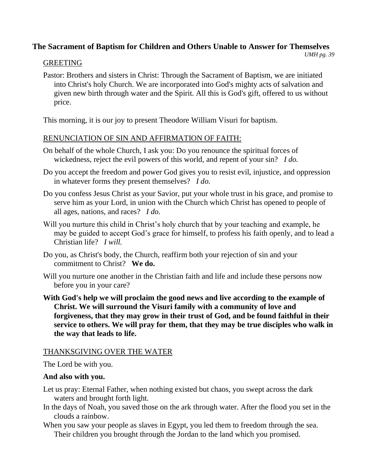#### **The Sacrament of Baptism for Children and Others Unable to Answer for Themselves**

*UMH pg. 39*

#### GREETING

Pastor: Brothers and sisters in Christ: Through the Sacrament of Baptism, we are initiated into Christ's holy Church. We are incorporated into God's mighty acts of salvation and given new birth through water and the Spirit. All this is God's gift, offered to us without price.

This morning, it is our joy to present Theodore William Visuri for baptism.

#### RENUNCIATION OF SIN AND AFFIRMATION OF FAITH:

- On behalf of the whole Church, I ask you: Do you renounce the spiritual forces of wickedness, reject the evil powers of this world, and repent of your sin? *I do.*
- Do you accept the freedom and power God gives you to resist evil, injustice, and oppression in whatever forms they present themselves? *I do.*
- Do you confess Jesus Christ as your Savior, put your whole trust in his grace, and promise to serve him as your Lord, in union with the Church which Christ has opened to people of all ages, nations, and races? *I do.*
- Will you nurture this child in Christ's holy church that by your teaching and example, he may be guided to accept God's grace for himself, to profess his faith openly, and to lead a Christian life? *I will.*
- Do you, as Christ's body, the Church, reaffirm both your rejection of sin and your commitment to Christ? **We do.**
- Will you nurture one another in the Christian faith and life and include these persons now before you in your care?
- **With God's help we will proclaim the good news and live according to the example of Christ. We will surround the Visuri family with a community of love and forgiveness, that they may grow in their trust of God, and be found faithful in their service to others. We will pray for them, that they may be true disciples who walk in the way that leads to life.**

#### THANKSGIVING OVER THE WATER

The Lord be with you.

#### **And also with you.**

- Let us pray: Eternal Father, when nothing existed but chaos, you swept across the dark waters and brought forth light.
- In the days of Noah, you saved those on the ark through water. After the flood you set in the clouds a rainbow.
- When you saw your people as slaves in Egypt, you led them to freedom through the sea. Their children you brought through the Jordan to the land which you promised.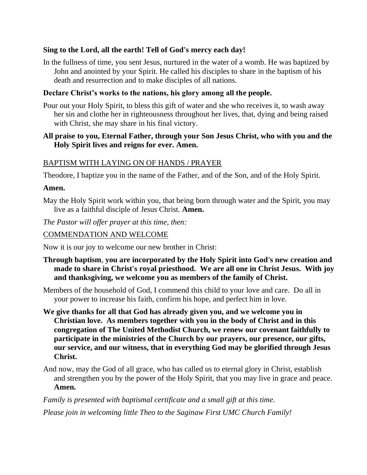#### **Sing to the Lord, all the earth! Tell of God's mercy each day!**

In the fullness of time, you sent Jesus, nurtured in the water of a womb. He was baptized by John and anointed by your Spirit. He called his disciples to share in the baptism of his death and resurrection and to make disciples of all nations.

#### **Declare Christ's works to the nations, his glory among all the people.**

Pour out your Holy Spirit, to bless this gift of water and she who receives it, to wash away her sin and clothe her in righteousness throughout her lives, that, dying and being raised with Christ, she may share in his final victory.

#### **All praise to you, Eternal Father, through your Son Jesus Christ, who with you and the Holy Spirit lives and reigns for ever. Amen.**

#### BAPTISM WITH LAYING ON OF HANDS / PRAYER

Theodore, I baptize you in the name of the Father, and of the Son, and of the Holy Spirit.

#### **Amen.**

May the Holy Spirit work within you, that being born through water and the Spirit, you may live as a faithful disciple of Jesus Christ. **Amen.** 

*The Pastor will offer prayer at this time, then:* 

#### COMMENDATION AND WELCOME

Now it is our joy to welcome our new brother in Christ:

- **Through baptism**, **you are incorporated by the Holy Spirit into God's new creation and made to share in Christ's royal priesthood. We are all one in Christ Jesus. With joy and thanksgiving, we welcome you as members of the family of Christ.**
- Members of the household of God, I commend this child to your love and care. Do all in your power to increase his faith, confirm his hope, and perfect him in love.
- **We give thanks for all that God has already given you, and we welcome you in Christian love. As members together with you in the body of Christ and in this congregation of The United Methodist Church, we renew our covenant faithfully to participate in the ministries of the Church by our prayers, our presence, our gifts, our service, and our witness, that in everything God may be glorified through Jesus Christ.**
- And now, may the God of all grace, who has called us to eternal glory in Christ, establish and strengthen you by the power of the Holy Spirit, that you may live in grace and peace. **Amen.**

*Family is presented with baptismal certificate and a small gift at this time.*

*Please join in welcoming little Theo to the Saginaw First UMC Church Family!*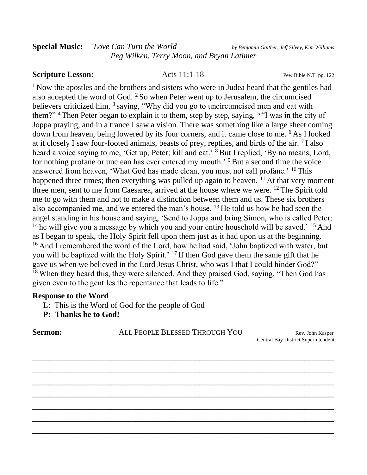#### **Special Music:** *"Love Can Turn the World" by Benjamin Gaither, Jeff Silvey, Kim Williams Peg Wilken, Terry Moon, and Bryan Latimer*

#### **Scripture Lesson:** Acts 11:1-18 Pew Bible N.T. pg. 122

<sup>1</sup> Now the apostles and the brothers and sisters who were in Judea heard that the gentiles had also accepted the word of God. <sup>2</sup> So when Peter went up to Jerusalem, the circumcised believers criticized him, <sup>3</sup> saying, "Why did you go to uncircumcised men and eat with them?"<sup>4</sup> Then Peter began to explain it to them, step by step, saying, <sup>5</sup> "I was in the city of Joppa praying, and in a trance I saw a vision. There was something like a large sheet coming down from heaven, being lowered by its four corners, and it came close to me. <sup>6</sup> As I looked at it closely I saw four-footed animals, beasts of prey, reptiles, and birds of the air. <sup>7</sup> I also heard a voice saying to me, 'Get up, Peter; kill and eat.' <sup>8</sup> But I replied, 'By no means, Lord, for nothing profane or unclean has ever entered my mouth.<sup>9</sup> But a second time the voice answered from heaven, 'What God has made clean, you must not call profane.' <sup>10</sup> This happened three times; then everything was pulled up again to heaven. <sup>11</sup> At that very moment three men, sent to me from Caesarea, arrived at the house where we were. <sup>12</sup> The Spirit told me to go with them and not to make a distinction between them and us. These six brothers also accompanied me, and we entered the man's house. <sup>13</sup> He told us how he had seen the angel standing in his house and saying, 'Send to Joppa and bring Simon, who is called Peter; <sup>14</sup> he will give you a message by which you and your entire household will be saved.<sup>'15</sup> And as I began to speak, the Holy Spirit fell upon them just as it had upon us at the beginning. <sup>16</sup> And I remembered the word of the Lord, how he had said, 'John baptized with water, but you will be baptized with the Holy Spirit.' <sup>17</sup> If then God gave them the same gift that he gave us when we believed in the Lord Jesus Christ, who was I that I could hinder God?" <sup>18</sup> When they heard this, they were silenced. And they praised God, saying, "Then God has given even to the gentiles the repentance that leads to life."

#### **Response to the Word**

- L: This is the Word of God for the people of God
- **P: Thanks be to God!**

**Sermon:** ALL PEOPLE BLESSED THROUGH YOU Rev. John Kasper

*\_\_\_\_\_\_\_\_\_\_\_\_\_\_\_\_\_\_\_\_\_\_\_\_\_\_\_\_\_\_\_\_\_\_\_\_\_\_\_\_\_\_\_\_\_\_\_\_\_\_\_\_\_\_\_\_\_\_\_\_\_\_\_\_\_\_\_\_\_\_\_\_*

*\_\_\_\_\_\_\_\_\_\_\_\_\_\_\_\_\_\_\_\_\_\_\_\_\_\_\_\_\_\_\_\_\_\_\_\_\_\_\_\_\_\_\_\_\_\_\_\_\_\_\_\_\_\_\_\_\_\_\_\_\_\_\_\_\_\_\_\_\_\_\_\_*

*\_\_\_\_\_\_\_\_\_\_\_\_\_\_\_\_\_\_\_\_\_\_\_\_\_\_\_\_\_\_\_\_\_\_\_\_\_\_\_\_\_\_\_\_\_\_\_\_\_\_\_\_\_\_\_\_\_\_\_\_\_\_\_\_\_\_\_\_\_\_\_\_*

*\_\_\_\_\_\_\_\_\_\_\_\_\_\_\_\_\_\_\_\_\_\_\_\_\_\_\_\_\_\_\_\_\_\_\_\_\_\_\_\_\_\_\_\_\_\_\_\_\_\_\_\_\_\_\_\_\_\_\_\_\_\_\_\_\_\_\_\_\_\_\_\_*

*\_\_\_\_\_\_\_\_\_\_\_\_\_\_\_\_\_\_\_\_\_\_\_\_\_\_\_\_\_\_\_\_\_\_\_\_\_\_\_\_\_\_\_\_\_\_\_\_\_\_\_\_\_\_\_\_\_\_\_\_\_\_\_\_\_\_\_\_\_\_\_\_*

*\_\_\_\_\_\_\_\_\_\_\_\_\_\_\_\_\_\_\_\_\_\_\_\_\_\_\_\_\_\_\_\_\_\_\_\_\_\_\_\_\_\_\_\_\_\_\_\_\_\_\_\_\_\_\_\_\_\_\_\_\_\_\_\_\_\_\_\_\_\_\_\_*

*\_\_\_\_\_\_\_\_\_\_\_\_\_\_\_\_\_\_\_\_\_\_\_\_\_\_\_\_\_\_\_\_\_\_\_\_\_\_\_\_\_\_\_\_\_\_\_\_\_\_\_\_\_\_\_\_\_\_\_\_\_\_\_\_\_\_\_\_\_\_\_\_*

Central Bay District Superintendent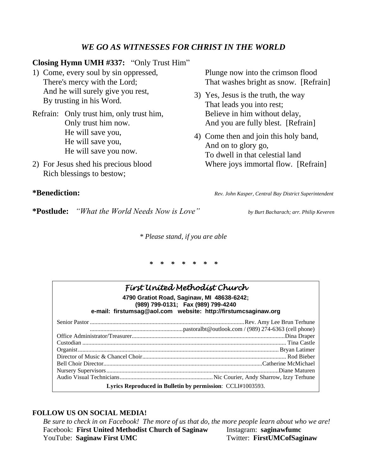#### *WE GO AS WITNESSES FOR CHRIST IN THE WORLD*

#### **Closing Hymn UMH #337:** "Only Trust Him"

- 1) Come, every soul by sin oppressed, There's mercy with the Lord; And he will surely give you rest, By trusting in his Word.
- Refrain: Only trust him, only trust him, Only trust him now. He will save you, He will save you, He will save you now.
- 2) For Jesus shed his precious blood Rich blessings to bestow;

**\*Postlude:** *"What the World Needs Now is Love" by Burt Bacharach; arr. Philip Keveren*

*\* Please stand, if you are able*

*\* \* \* \* \* \* \**

#### *First United Methodist Church*  **4790 Gratiot Road, Saginaw, MI 48638-6242; (989) 799-0131; Fax (989) 799-4240 e-mail: firstumsag@aol.com website: http://firstumcsaginaw.org** Senior Pastor .......................................................................................................Rev. Amy Lee Brun Terhune ..............................................................pastoralbt@outlook.com / (989) 274-6363 (cell phone) Office Administrator/Treasurer......................................................................................................Dina Draper Custodian ........................................................................................................................................ Tina Castle Organist...................................................................................................................................... Bryan Latimer Director of Music & Chancel Choir................................................................................................ Rod Bieber Bell Choir Director..........................................................................................................Catherine McMichael

Audio Visual Technicians..............................................................Nic Courier, Andy Sharrow, Izzy Terhune **Lyrics Reproduced in Bulletin by permission**: CCLI#1003593.

Nursery Supervisors...................................................................................................................Diane Maturen

#### **FOLLOW US ON SOCIAL MEDIA!**

*Be sure to check in on Facebook! The more of us that do, the more people learn about who we are!* Facebook: **First United Methodist Church of Saginaw** Instagram: **saginawfumc** YouTube: Saginaw First UMC Twitter: First UMC Twitter: First UMC Of Saginaw

Plunge now into the crimson flood That washes bright as snow. [Refrain]

- 3) Yes, Jesus is the truth, the way That leads you into rest; Believe in him without delay, And you are fully blest. [Refrain]
- 4) Come then and join this holy band, And on to glory go, To dwell in that celestial land Where joys immortal flow. [Refrain]

**\*Benediction:** *Rev. John Kasper, Central Bay District Superintendent*